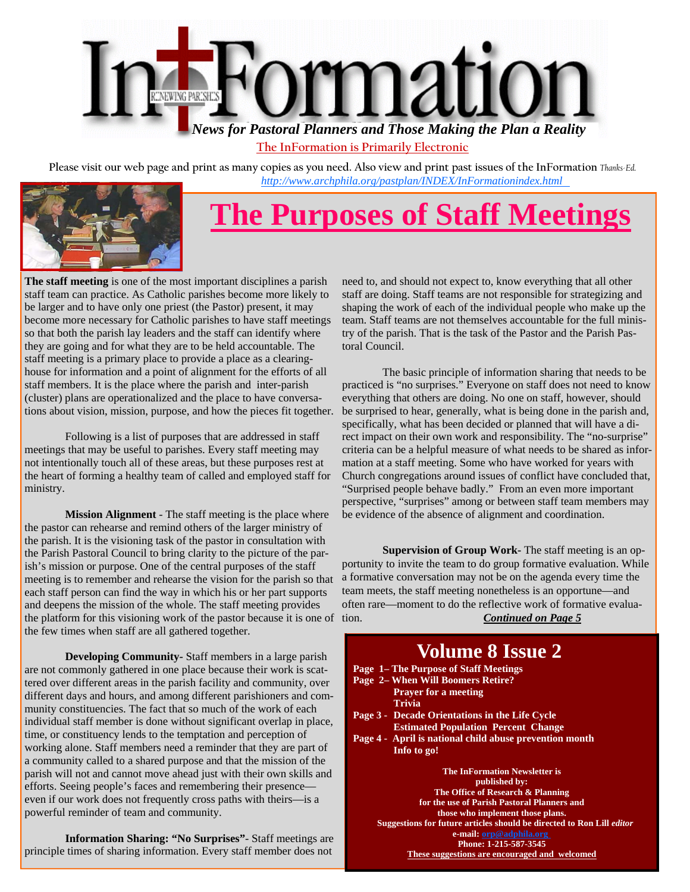

**The InFormation is Primarily Electronic**

**Please visit our web page and print as many copies as you need. Also view and print past issues of the InFormation** *Thanks-Ed. [http://www.archphila.org/pastplan/](http://archphila.org/pastplan/INDEX/InFormationindex.html)INDEX/InFormationindex.html*



# **The Purposes of Staff Meetings**

**The staff meeting** is one of the most important disciplines a parish staff team can practice. As Catholic parishes become more likely to be larger and to have only one priest (the Pastor) present, it may become more necessary for Catholic parishes to have staff meetings so that both the parish lay leaders and the staff can identify where they are going and for what they are to be held accountable. The staff meeting is a primary place to provide a place as a clearinghouse for information and a point of alignment for the efforts of all staff members. It is the place where the parish and inter-parish (cluster) plans are operationalized and the place to have conversations about vision, mission, purpose, and how the pieces fit together.

 Following is a list of purposes that are addressed in staff meetings that may be useful to parishes. Every staff meeting may not intentionally touch all of these areas, but these purposes rest at the heart of forming a healthy team of called and employed staff for ministry.

**Mission Alignment** - The staff meeting is the place where the pastor can rehearse and remind others of the larger ministry of the parish. It is the visioning task of the pastor in consultation with the Parish Pastoral Council to bring clarity to the picture of the parish's mission or purpose. One of the central purposes of the staff meeting is to remember and rehearse the vision for the parish so that each staff person can find the way in which his or her part supports and deepens the mission of the whole. The staff meeting provides the platform for this visioning work of the pastor because it is one of the few times when staff are all gathered together.

**Developing Community-** Staff members in a large parish are not commonly gathered in one place because their work is scattered over different areas in the parish facility and community, over different days and hours, and among different parishioners and community constituencies. The fact that so much of the work of each individual staff member is done without significant overlap in place, time, or constituency lends to the temptation and perception of working alone. Staff members need a reminder that they are part of a community called to a shared purpose and that the mission of the parish will not and cannot move ahead just with their own skills and efforts. Seeing people's faces and remembering their presence even if our work does not frequently cross paths with theirs—is a powerful reminder of team and community.

**Information Sharing: "No Surprises"**- Staff meetings are principle times of sharing information. Every staff member does not

need to, and should not expect to, know everything that all other staff are doing. Staff teams are not responsible for strategizing and shaping the work of each of the individual people who make up the team. Staff teams are not themselves accountable for the full ministry of the parish. That is the task of the Pastor and the Parish Pastoral Council.

 The basic principle of information sharing that needs to be practiced is "no surprises." Everyone on staff does not need to know everything that others are doing. No one on staff, however, should be surprised to hear, generally, what is being done in the parish and, specifically, what has been decided or planned that will have a direct impact on their own work and responsibility. The "no-surprise" criteria can be a helpful measure of what needs to be shared as information at a staff meeting. Some who have worked for years with Church congregations around issues of conflict have concluded that, "Surprised people behave badly." From an even more important perspective, "surprises" among or between staff team members may be evidence of the absence of alignment and coordination.

**Supervision of Group Work-** The staff meeting is an opportunity to invite the team to do group formative evaluation. While a formative conversation may not be on the agenda every time the team meets, the staff meeting nonetheless is an opportune—and often rare—moment to do the reflective work of formative evaluation. *Continued on Page 5*

#### **Volume 8 Issue 2 Page 1– The Purpose of Staff Meetings Page 2– When Will Boomers Retire? Prayer for a meeting Trivia Page 3 - Decade Orientations in the Life Cycle Estimated Population Percent Change Page 4 - April is national child abuse prevention month Info to go! The InFormation Newsletter is published by: The Office of Research & Planning for the use of Parish Pastoral Planners and those who implement those plans. Suggestions for future articles should be directed to Ron Lill** *editor*  **e-mail: orp@adphila.org Phone: 1-215-587-3545 These suggestions are encouraged and welcomed**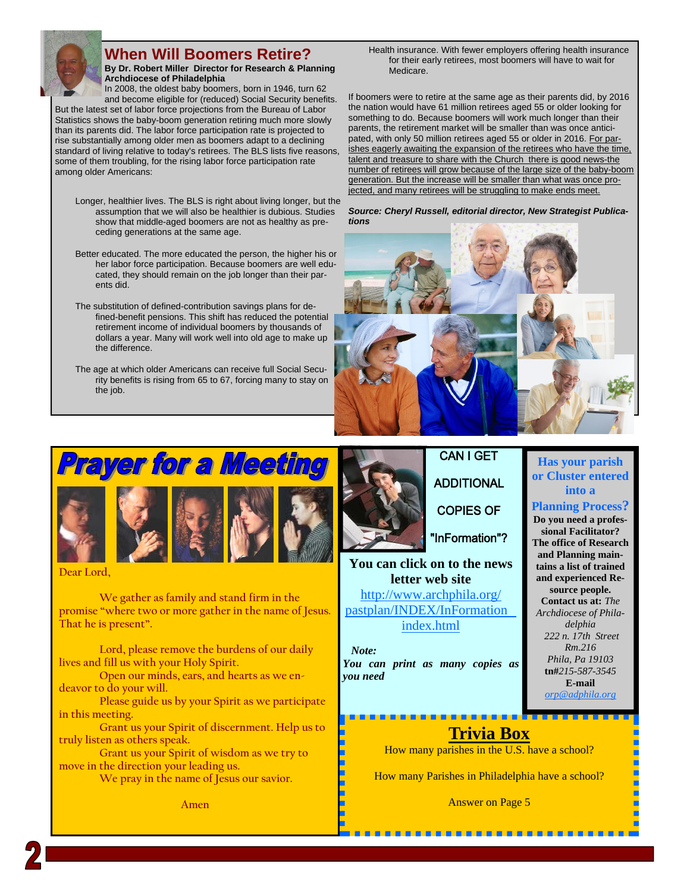

### **When Will Boomers Retire?**

**By Dr. Robert Miller Director for Research & Planning Archdiocese of Philadelphia** In 2008, the oldest baby boomers, born in 1946, turn 62

and become eligible for (reduced) Social Security benefits. But the latest set of labor force projections from the Bureau of Labor Statistics shows the baby-boom generation retiring much more slowly than its parents did. The labor force participation rate is projected to rise substantially among older men as boomers adapt to a declining standard of living relative to today's retirees. The BLS lists five reasons, some of them troubling, for the rising labor force participation rate among older Americans:

- Longer, healthier lives. The BLS is right about living longer, but the assumption that we will also be healthier is dubious. Studies show that middle-aged boomers are not as healthy as preceding generations at the same age.
- Better educated. The more educated the person, the higher his or her labor force participation. Because boomers are well educated, they should remain on the job longer than their parents did.
- The substitution of defined-contribution savings plans for defined-benefit pensions. This shift has reduced the potential retirement income of individual boomers by thousands of dollars a year. Many will work well into old age to make up the difference.
- The age at which older Americans can receive full Social Security benefits is rising from 65 to 67, forcing many to stay on the job.

Health insurance. With fewer employers offering health insurance for their early retirees, most boomers will have to wait for Medicare.

If boomers were to retire at the same age as their parents did, by 2016 the nation would have 61 million retirees aged 55 or older looking for something to do. Because boomers will work much longer than their parents, the retirement market will be smaller than was once anticipated, with only 50 million retirees aged 55 or older in 2016. For parishes eagerly awaiting the expansion of the retirees who have the time, talent and treasure to share with the Church there is good news-the number of retirees will grow because of the large size of the baby-boom generation. But the increase will be smaller than what was once projected, and many retirees will be struggling to make ends meet.

*Source: Cheryl Russell, editorial director, New Strategist Publications* 



# Prayer for a Meeting





**Dear Lord,** 

 **We gather as family and stand firm in the promise "where two or more gather in the name of Jesus. That he is present".** 

 **Lord, please remove the burdens of our daily lives and fill us with your Holy Spirit.** 

 **Open our minds, ears, and hearts as we endeavor to do your will.** 

 **Please guide us by your Spirit as we participate in this meeting.** 

 **Grant us your Spirit of discernment. Help us to truly listen as others speak.** 

 **Grant us your Spirit of wisdom as we try to move in the direction your leading us.** 

 **We pray in the name of Jesus our savior.** 

**Amen** 



## **CAN I GET ADDITIONAL**

**COPIES OF** 

"InFormation"?

**You can click on to the news letter web site**  [http://www.archphila.org/](http://archphila.org/pastplan/INDEX/InFormationindex.html) pastplan/INDEX/InFormation

index.html

 *Note: You can print as many copies as you need* 

### **Has your parish or Cluster entered into a**

### **Planning Process?**

**Do you need a professional Facilitator? The office of Research and Planning maintains a list of trained and experienced Resource people. Contact us at:** *The Archdiocese of Philadelphia 222 n. 17th Street Rm.216 Phila, Pa 19103*  **tn#***215-587-3545* **E-mail**  *orp@adphila.org* 

## **Trivia Box**

How many parishes in the U.S. have a school?

How many Parishes in Philadelphia have a school?

Answer on Page 5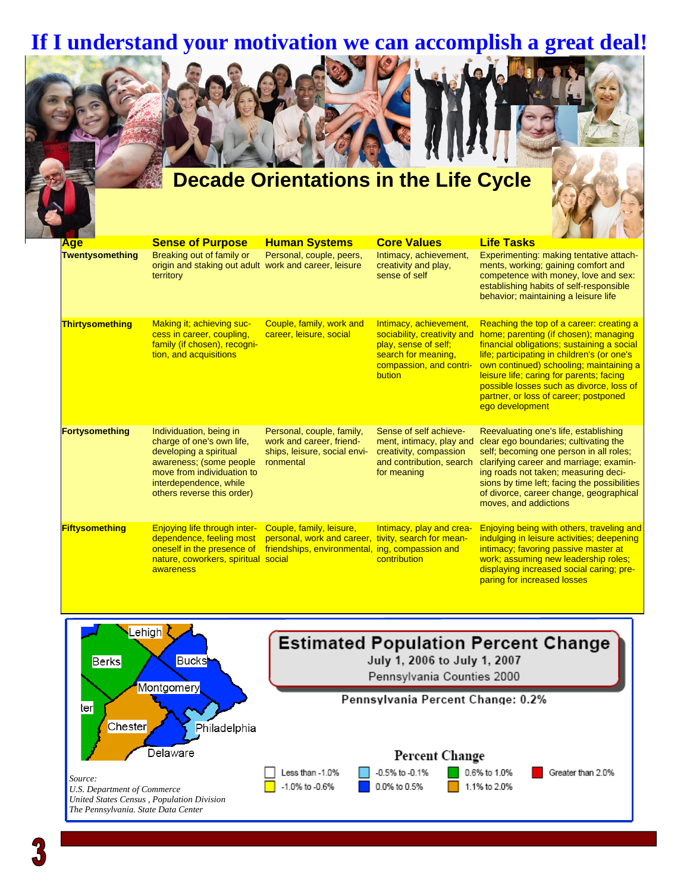## **If I understand your motivation we can accomplish a great deal!**



| <b>Age</b>            | <b>Sense of Purpose</b>                                                                                                                                                                         | <b>Human Systems</b>                                                                                      | <b>Core Values</b>                                                                                                                        | <b>Life Tasks</b>                                                                                                                                                                                                                                                                                                                                                             |
|-----------------------|-------------------------------------------------------------------------------------------------------------------------------------------------------------------------------------------------|-----------------------------------------------------------------------------------------------------------|-------------------------------------------------------------------------------------------------------------------------------------------|-------------------------------------------------------------------------------------------------------------------------------------------------------------------------------------------------------------------------------------------------------------------------------------------------------------------------------------------------------------------------------|
| Twentysomething       | Breaking out of family or<br>origin and staking out adult work and career, leisure<br>territory                                                                                                 | Personal, couple, peers,                                                                                  | Intimacy, achievement,<br>creativity and play,<br>sense of self                                                                           | Experimenting: making tentative attach-<br>ments, working; gaining comfort and<br>competence with money, love and sex:<br>establishing habits of self-responsible<br>behavior; maintaining a leisure life                                                                                                                                                                     |
| Thirtysomething       | Making it; achieving suc-<br>cess in career, coupling,<br>family (if chosen), recogni-<br>tion, and acquisitions                                                                                | Couple, family, work and<br>career, leisure, social                                                       | Intimacy, achievement,<br>sociability, creativity and<br>play, sense of self;<br>search for meaning,<br>compassion, and contri-<br>bution | Reaching the top of a career: creating a<br>home; parenting (if chosen); managing<br>financial obligations; sustaining a social<br>life; participating in children's (or one's<br>own continued) schooling; maintaining a<br>leisure life; caring for parents; facing<br>possible losses such as divorce, loss of<br>partner, or loss of career; postponed<br>ego development |
| Fortysomething        | Individuation, being in<br>charge of one's own life,<br>developing a spiritual<br>awareness; (some people<br>move from individuation to<br>interdependence, while<br>others reverse this order) | Personal, couple, family,<br>work and career, friend-<br>ships, leisure, social envi-<br>ronmental        | Sense of self achieve-<br>ment, intimacy, play and<br>creativity, compassion<br>and contribution, search<br>for meaning                   | Reevaluating one's life, establishing<br>clear ego boundaries; cultivating the<br>self; becoming one person in all roles;<br>clarifying career and marriage; examin-<br>ing roads not taken; measuring deci-<br>sions by time left; facing the possibilities<br>of divorce, career change, geographical<br>moves, and addictions                                              |
| <b>Fiftysomething</b> | Enjoying life through inter-<br>dependence, feeling most<br>oneself in the presence of<br>nature, coworkers, spiritual social<br>awareness                                                      | Couple, family, leisure,<br>personal, work and career,<br>friendships, environmental, ing, compassion and | Intimacy, play and crea-<br>tivity, search for mean-<br>contribution                                                                      | Enjoying being with others, traveling and<br>indulging in leisure activities; deepening<br>intimacy; favoring passive master at<br>work; assuming new leadership roles;<br>displaying increased social caring; pre-<br>paring for increased losses                                                                                                                            |

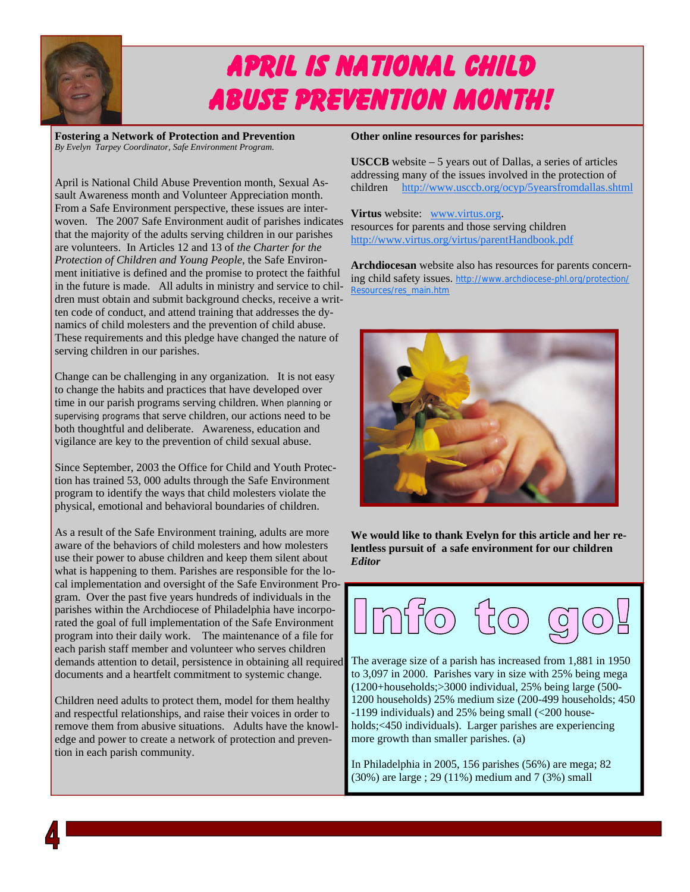

# April is National Child Abuse Prevention Month!

**Fostering a Network of Protection and Prevention**  *By Evelyn Tarpey Coordinator, Safe Environment Program.*

April is National Child Abuse Prevention month, Sexual Assault Awareness month and Volunteer Appreciation month. From a Safe Environment perspective, these issues are interwoven. The 2007 Safe Environment audit of parishes indicates that the majority of the adults serving children in our parishes are volunteers. In Articles 12 and 13 of *the Charter for the Protection of Children and Young People*, the Safe Environment initiative is defined and the promise to protect the faithful in the future is made. All adults in ministry and service to children must obtain and submit background checks, receive a written code of conduct, and attend training that addresses the dynamics of child molesters and the prevention of child abuse. These requirements and this pledge have changed the nature of serving children in our parishes.

Change can be challenging in any organization. It is not easy to change the habits and practices that have developed over time in our parish programs serving children. When planning or supervising programs that serve children, our actions need to be both thoughtful and deliberate. Awareness, education and vigilance are key to the prevention of child sexual abuse.

Since September, 2003 the Office for Child and Youth Protection has trained 53, 000 adults through the Safe Environment program to identify the ways that child molesters violate the physical, emotional and behavioral boundaries of children.

As a result of the Safe Environment training, adults are more aware of the behaviors of child molesters and how molesters use their power to abuse children and keep them silent about what is happening to them. Parishes are responsible for the local implementation and oversight of the Safe Environment Program. Over the past five years hundreds of individuals in the parishes within the Archdiocese of Philadelphia have incorporated the goal of full implementation of the Safe Environment program into their daily work. The maintenance of a file for each parish staff member and volunteer who serves children demands attention to detail, persistence in obtaining all required documents and a heartfelt commitment to systemic change.

Children need adults to protect them, model for them healthy and respectful relationships, and raise their voices in order to remove them from abusive situations. Adults have the knowledge and power to create a network of protection and prevention in each parish community.

### **Other online resources for parishes:**

**USCCB** website – 5 years out of Dallas, a series of articles addressing many of the issues involved in the protection of children http://www.usccb.org/ocyp/5yearsfromdallas.shtml

**Virtus** website: www.virtus.org. resources for parents and those serving children http://www.virtus.org/virtus/parentHandbook.pdf

**Archdiocesan** website also has resources for parents concerning child safety issues. http://www.archdiocese-phl.org/protection/ Resources/res\_main.htm



**We would like to thank Evelyn for this article and her relentless pursuit of a safe environment for our children**  *Editor* 



The average size of a parish has increased from 1,881 in 1950 to 3,097 in 2000. Parishes vary in size with 25% being mega (1200+households;>3000 individual, 25% being large (500- 1200 households) 25% medium size (200-499 households; 450 -1199 individuals) and 25% being small (<200 households;<450 individuals). Larger parishes are experiencing more growth than smaller parishes. (a)

In Philadelphia in 2005, 156 parishes (56%) are mega; 82 (30%) are large ; 29 (11%) medium and 7 (3%) small